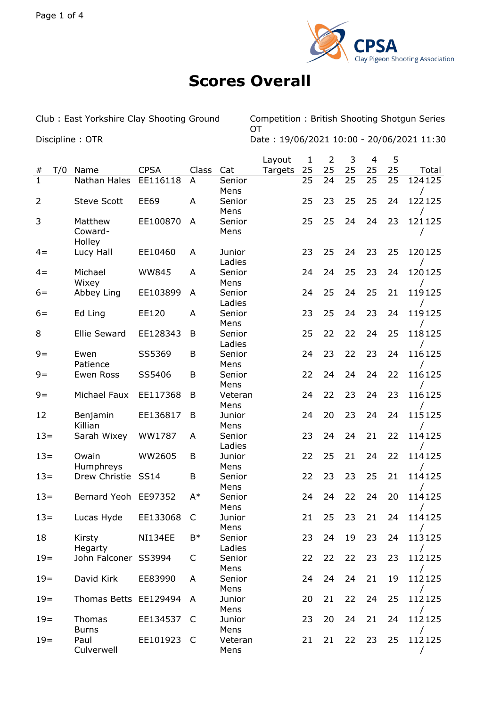

## **Scores Overall**

Club : East Yorkshire Clay Shooting Ground Competition : British Shooting Shotgun Series **OT** Discipline : OTR Date : 19/06/2021 10:00 - 20/06/2021 11:30

|                |     |                              |                |              |                  | Layout  | 1  | $\overline{2}$ | 3  | $\overline{4}$ | 5  |                    |
|----------------|-----|------------------------------|----------------|--------------|------------------|---------|----|----------------|----|----------------|----|--------------------|
| #              | T/0 | Name                         | <b>CPSA</b>    | Class        | Cat              | Targets | 25 | 25             | 25 | 25             | 25 | Total              |
| $\mathbf{1}$   |     | Nathan Hales                 | EE116118       | A            | Senior<br>Mens   |         | 25 | 24             | 25 | 25             | 25 | 124125             |
| $\overline{2}$ |     | <b>Steve Scott</b>           | <b>EE69</b>    | A            | Senior<br>Mens   |         | 25 | 23             | 25 | 25             | 24 | 122125             |
| 3              |     | Matthew<br>Coward-<br>Holley | EE100870       | A            | Senior<br>Mens   |         | 25 | 25             | 24 | 24             | 23 | 121125             |
| $4 =$          |     | Lucy Hall                    | EE10460        | A            | Junior<br>Ladies |         | 23 | 25             | 24 | 23             | 25 | 120125             |
| $4 =$          |     | Michael<br>Wixey             | <b>WW845</b>   | A            | Senior<br>Mens   |         | 24 | 24             | 25 | 23             | 24 | 120125             |
| $6=$           |     | Abbey Ling                   | EE103899       | A            | Senior<br>Ladies |         | 24 | 25             | 24 | 25             | 21 | 119125             |
| $6=$           |     | Ed Ling                      | EE120          | A            | Senior<br>Mens   |         | 23 | 25             | 24 | 23             | 24 | 119125             |
| 8              |     | <b>Ellie Seward</b>          | EE128343       | B            | Senior<br>Ladies |         | 25 | 22             | 22 | 24             | 25 | 118125             |
| $9=$           |     | Ewen<br>Patience             | SS5369         | B            | Senior<br>Mens   |         | 24 | 23             | 22 | 23             | 24 | 116125             |
| $9=$           |     | Ewen Ross                    | SS5406         | B            | Senior<br>Mens   |         | 22 | 24             | 24 | 24             | 22 | 116125             |
| $9=$           |     | Michael Faux                 | EE117368       | B            | Veteran<br>Mens  |         | 24 | 22             | 23 | 24             | 23 | 116125             |
| 12             |     | Benjamin<br>Killian          | EE136817       | B            | Junior<br>Mens   |         | 24 | 20             | 23 | 24             | 24 | 115125             |
| $13=$          |     | Sarah Wixey                  | WW1787         | A            | Senior<br>Ladies |         | 23 | 24             | 24 | 21             | 22 | 114125             |
| $13=$          |     | Owain<br>Humphreys           | WW2605         | B            | Junior<br>Mens   |         | 22 | 25             | 21 | 24             | 22 | 114125             |
| $13=$          |     | Drew Christie                | <b>SS14</b>    | B            | Senior<br>Mens   |         | 22 | 23             | 23 | 25             | 21 | 114125             |
| $13=$          |     | Bernard Yeoh                 | EE97352        | $A^*$        | Senior<br>Mens   |         | 24 | 24             | 22 | 24             | 20 | 114125             |
| $13=$          |     | Lucas Hyde                   | EE133068       | C            | Junior<br>Mens   |         | 21 | 25             | 23 | 21             | 24 | 114125             |
| 18             |     | Kirsty<br>Hegarty            | <b>NI134EE</b> | $B*$         | Senior<br>Ladies |         | 23 | 24             | 19 | 23             | 24 | 113125             |
| $19=$          |     | John Falconer SS3994         |                | C            | Senior<br>Mens   |         | 22 | 22             | 22 | 23             | 23 | 112125             |
| $19=$          |     | David Kirk                   | EE83990        | A            | Senior<br>Mens   |         | 24 | 24             | 24 | 21             | 19 | 112125             |
| $19=$          |     | Thomas Betts EE129494        |                | A            | Junior<br>Mens   |         | 20 | 21             | 22 | 24             | 25 | 112125             |
| $19=$          |     | Thomas<br><b>Burns</b>       | EE134537       | C            | Junior<br>Mens   |         | 23 | 20             | 24 | 21             | 24 | 112125             |
| $19=$          |     | Paul<br>Culverwell           | EE101923       | <sub>C</sub> | Veteran<br>Mens  |         | 21 | 21             | 22 | 23             | 25 | 112125<br>$\prime$ |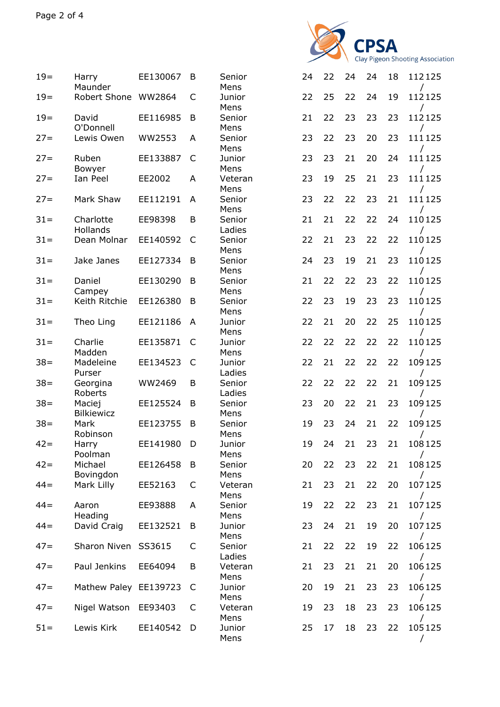

| $19=$  | Harry<br>Maunder            | EE130067 | B | Senior<br>Mens   | 24 | 22 | 24 | 24 | 18 | 112125 |
|--------|-----------------------------|----------|---|------------------|----|----|----|----|----|--------|
| $19=$  | Robert Shone                | WW2864   | C | Junior<br>Mens   | 22 | 25 | 22 | 24 | 19 | 112125 |
| $19=$  | David<br>O'Donnell          | EE116985 | B | Senior<br>Mens   | 21 | 22 | 23 | 23 | 23 | 112125 |
| $27 =$ | Lewis Owen                  | WW2553   | A | Senior<br>Mens   | 23 | 22 | 23 | 20 | 23 | 111125 |
| $27 =$ | Ruben<br>Bowyer             | EE133887 | C | Junior<br>Mens   | 23 | 23 | 21 | 20 | 24 | 111125 |
| $27 =$ | Ian Peel                    | EE2002   | A | Veteran<br>Mens  | 23 | 19 | 25 | 21 | 23 | 111125 |
| $27 =$ | Mark Shaw                   | EE112191 | A | Senior<br>Mens   | 23 | 22 | 22 | 23 | 21 | 111125 |
| $31 =$ | Charlotte<br>Hollands       | EE98398  | B | Senior<br>Ladies | 21 | 21 | 22 | 22 | 24 | 110125 |
| $31 =$ | Dean Molnar                 | EE140592 | C | Senior<br>Mens   | 22 | 21 | 23 | 22 | 22 | 110125 |
| $31 =$ | Jake Janes                  | EE127334 | B | Senior<br>Mens   | 24 | 23 | 19 | 21 | 23 | 110125 |
| $31 =$ | Daniel<br>Campey            | EE130290 | B | Senior<br>Mens   | 21 | 22 | 22 | 23 | 22 | 110125 |
| $31 =$ | Keith Ritchie               | EE126380 | B | Senior<br>Mens   | 22 | 23 | 19 | 23 | 23 | 110125 |
| $31 =$ | Theo Ling                   | EE121186 | A | Junior<br>Mens   | 22 | 21 | 20 | 22 | 25 | 110125 |
| $31 =$ | Charlie<br>Madden           | EE135871 | C | Junior<br>Mens   | 22 | 22 | 22 | 22 | 22 | 110125 |
| $38 =$ | Madeleine<br>Purser         | EE134523 | C | Junior<br>Ladies | 22 | 21 | 22 | 22 | 22 | 109125 |
| $38 =$ | Georgina<br>Roberts         | WW2469   | B | Senior<br>Ladies | 22 | 22 | 22 | 22 | 21 | 109125 |
| $38 =$ | Maciej<br><b>Bilkiewicz</b> | EE125524 | B | Senior<br>Mens   | 23 | 20 | 22 | 21 | 23 | 109125 |
| $38 =$ | Mark<br>Robinson            | EE123755 | B | Senior<br>Mens   | 19 | 23 | 24 | 21 | 22 | 109125 |
| $42 =$ | Harry<br>Poolman            | EE141980 | D | Junior<br>Mens   | 19 | 24 | 21 | 23 | 21 | 108125 |
| $42 =$ | Michael<br>Bovingdon        | EE126458 | B | Senior<br>Mens   | 20 | 22 | 23 | 22 | 21 | 108125 |
| $44 =$ | Mark Lilly                  | EE52163  | C | Veteran<br>Mens  | 21 | 23 | 21 | 22 | 20 | 107125 |
| $44 =$ | Aaron<br>Heading            | EE93888  | A | Senior<br>Mens   | 19 | 22 | 22 | 23 | 21 | 107125 |
| $44 =$ | David Craig                 | EE132521 | B | Junior<br>Mens   | 23 | 24 | 21 | 19 | 20 | 107125 |
| $47=$  | Sharon Niven SS3615         |          | C | Senior<br>Ladies | 21 | 22 | 22 | 19 | 22 | 106125 |
| $47=$  | Paul Jenkins                | EE64094  | B | Veteran<br>Mens  | 21 | 23 | 21 | 21 | 20 | 106125 |
| $47=$  | Mathew Paley EE139723       |          | C | Junior<br>Mens   | 20 | 19 | 21 | 23 | 23 | 106125 |
| $47=$  | Nigel Watson                | EE93403  | C | Veteran<br>Mens  | 19 | 23 | 18 | 23 | 23 | 106125 |
| $51 =$ | Lewis Kirk                  | EE140542 | D | Junior<br>Mens   | 25 | 17 | 18 | 23 | 22 | 105125 |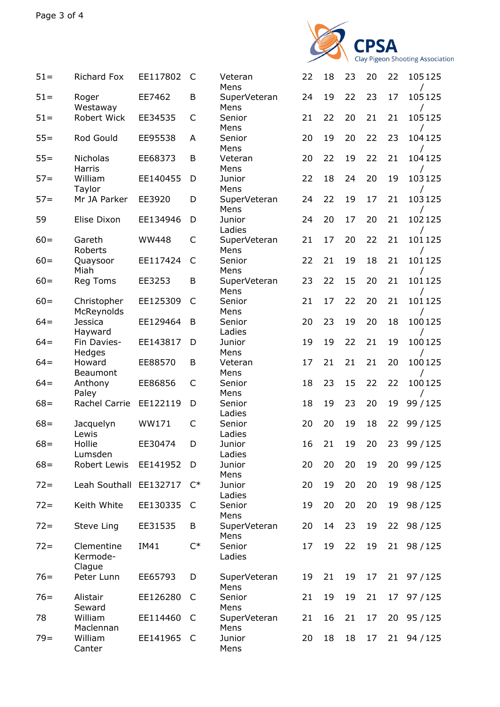

| $51 =$ | <b>Richard Fox</b>               | EE117802     | C              | Veteran<br>Mens      | 22 | 18 | 23 | 20 | 22 | 105125      |
|--------|----------------------------------|--------------|----------------|----------------------|----|----|----|----|----|-------------|
| $51 =$ | Roger<br>Westaway                | EE7462       | B              | SuperVeteran<br>Mens | 24 | 19 | 22 | 23 | 17 | 105125      |
| $51 =$ | Robert Wick                      | EE34535      | C              | Senior<br>Mens       | 21 | 22 | 20 | 21 | 21 | 105125      |
| $55 =$ | Rod Gould                        | EE95538      | A              | Senior<br>Mens       | 20 | 19 | 20 | 22 | 23 | 104125      |
| $55=$  | <b>Nicholas</b><br>Harris        | EE68373      | B              | Veteran<br>Mens      | 20 | 22 | 19 | 22 | 21 | 104125      |
| $57 =$ | William<br>Taylor                | EE140455     | D              | Junior<br>Mens       | 22 | 18 | 24 | 20 | 19 | 103125      |
| $57 =$ | Mr JA Parker                     | EE3920       | D              | SuperVeteran<br>Mens | 24 | 22 | 19 | 17 | 21 | 103125      |
| 59     | Elise Dixon                      | EE134946     | D              | Junior<br>Ladies     | 24 | 20 | 17 | 20 | 21 | 102125      |
| $60 =$ | Gareth<br>Roberts                | <b>WW448</b> | C              | SuperVeteran<br>Mens | 21 | 17 | 20 | 22 | 21 | 101125      |
| $60 =$ | Quaysoor<br>Miah                 | EE117424     | C              | Senior<br>Mens       | 22 | 21 | 19 | 18 | 21 | 101125      |
| $60 =$ | Reg Toms                         | EE3253       | B              | SuperVeteran<br>Mens | 23 | 22 | 15 | 20 | 21 | 101125      |
| $60 =$ | Christopher<br>McReynolds        | EE125309     | C              | Senior<br>Mens       | 21 | 17 | 22 | 20 | 21 | 101125      |
| $64=$  | Jessica<br>Hayward               | EE129464     | B              | Senior<br>Ladies     | 20 | 23 | 19 | 20 | 18 | 100125      |
| $64=$  | Fin Davies-<br>Hedges            | EE143817     | D              | Junior<br>Mens       | 19 | 19 | 22 | 21 | 19 | 100125      |
| $64=$  | Howard<br>Beaumont               | EE88570      | B              | Veteran<br>Mens      | 17 | 21 | 21 | 21 | 20 | 100125      |
| $64=$  | Anthony<br>Paley                 | EE86856      | C              | Senior<br>Mens       | 18 | 23 | 15 | 22 | 22 | 100125      |
| $68 =$ | Rachel Carrie                    | EE122119     | D              | Senior<br>Ladies     | 18 | 19 | 23 | 20 | 19 | 99 / 125    |
| $68 =$ | Jacquelyn<br>Lewis               | WW171        | C              | Senior<br>Ladies     | 20 | 20 | 19 | 18 | 22 | 99 / 125    |
| $68 =$ | Hollie<br>Lumsden                | EE30474      | D              | Junior<br>Ladies     | 16 | 21 | 19 | 20 | 23 | 99 / 125    |
| $68 =$ | Robert Lewis                     | EE141952     | D              | Junior<br>Mens       | 20 | 20 | 20 | 19 | 20 | 99 / 125    |
| $72 =$ | Leah Southall                    | EE132717     | $\mathsf{C}^*$ | Junior<br>Ladies     | 20 | 19 | 20 | 20 | 19 | 98 / 125    |
| $72 =$ | Keith White                      | EE130335     | C              | Senior<br>Mens       | 19 | 20 | 20 | 20 | 19 | 98/125      |
| $72 =$ | Steve Ling                       | EE31535      | B              | SuperVeteran<br>Mens | 20 | 14 | 23 | 19 |    | 22 98 / 125 |
| $72 =$ | Clementine<br>Kermode-<br>Clague | IM41         | $C^*$          | Senior<br>Ladies     | 17 | 19 | 22 | 19 |    | 21 98 / 125 |
| $76=$  | Peter Lunn                       | EE65793      | D              | SuperVeteran<br>Mens | 19 | 21 | 19 | 17 |    | 21 97/125   |
| $76=$  | Alistair<br>Seward               | EE126280     | C              | Senior<br>Mens       | 21 | 19 | 19 | 21 |    | 17 97 / 125 |
| 78     | William<br>Maclennan             | EE114460     | - C            | SuperVeteran<br>Mens | 21 | 16 | 21 | 17 | 20 | 95 / 125    |
| $79 =$ | William<br>Canter                | EE141965     | $\mathsf{C}$   | Junior<br>Mens       | 20 | 18 | 18 | 17 |    | 21 94 / 125 |